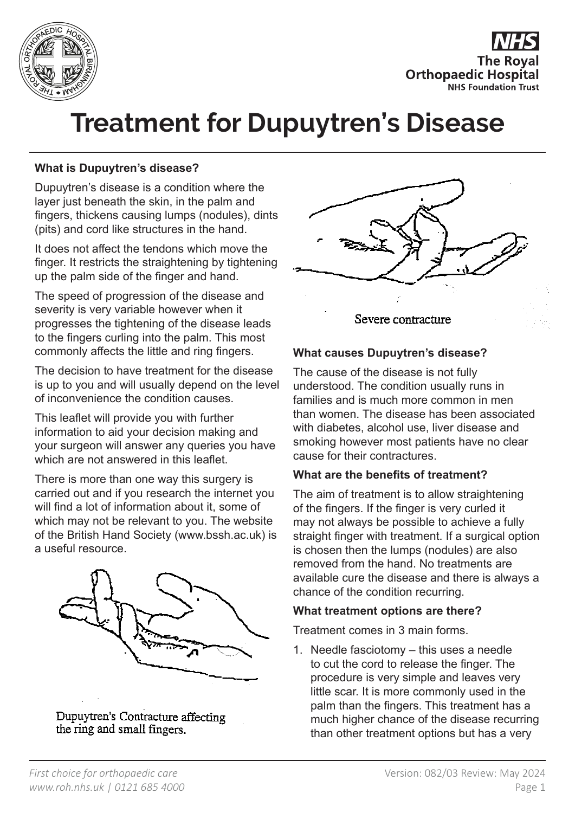



# **Treatment for Dupuytren's Disease**

## **What is Dupuytren's disease?**

Dupuytren's disease is a condition where the layer just beneath the skin, in the palm and fingers, thickens causing lumps (nodules), dints (pits) and cord like structures in the hand.

It does not affect the tendons which move the finger. It restricts the straightening by tightening up the palm side of the finger and hand.

The speed of progression of the disease and severity is very variable however when it progresses the tightening of the disease leads to the fingers curling into the palm. This most commonly affects the little and ring fingers.

The decision to have treatment for the disease is up to you and will usually depend on the level of inconvenience the condition causes.

This leaflet will provide you with further information to aid your decision making and your surgeon will answer any queries you have which are not answered in this leaflet.

There is more than one way this surgery is carried out and if you research the internet you will find a lot of information about it, some of which may not be relevant to you. The website of the British Hand Society (www.bssh.ac.uk) is a useful resource.



Dupuytren's Contracture affecting the ring and small fingers.



#### **What causes Dupuytren's disease?**

The cause of the disease is not fully understood. The condition usually runs in families and is much more common in men than women. The disease has been associated with diabetes, alcohol use, liver disease and smoking however most patients have no clear cause for their contractures.

### **What are the benefits of treatment?**

The aim of treatment is to allow straightening of the fingers. If the finger is very curled it may not always be possible to achieve a fully straight finger with treatment. If a surgical option is chosen then the lumps (nodules) are also removed from the hand. No treatments are available cure the disease and there is always a chance of the condition recurring.

#### **What treatment options are there?**

Treatment comes in 3 main forms.

1. Needle fasciotomy – this uses a needle to cut the cord to release the finger. The procedure is very simple and leaves very little scar. It is more commonly used in the palm than the fingers. This treatment has a much higher chance of the disease recurring than other treatment options but has a very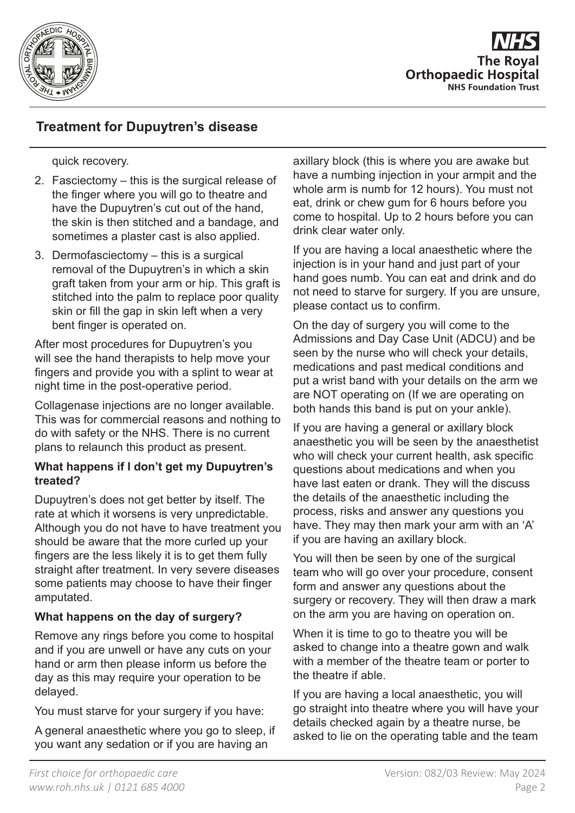

## **Treatment for Dupuytren's disease**

quick recovery.

- 2. Fasciectomy this is the surgical release of the finger where you will go to theatre and have the Dupuytren's cut out of the hand, the skin is then stitched and a bandage, and sometimes a plaster cast is also applied.
- 3. Dermofasciectomy this is a surgical removal of the Dupuytren's in which a skin graft taken from your arm or hip. This graft is stitched into the palm to replace poor quality skin or fill the gap in skin left when a very bent finger is operated on.

After most procedures for Dupuytren's you will see the hand therapists to help move your fingers and provide you with a splint to wear at night time in the post-operative period.

Collagenase injections are no longer available. This was for commercial reasons and nothing to do with safety or the NHS. There is no current plans to relaunch this product as present.

#### **What happens if I don't get my Dupuytren's treated?**

Dupuytren's does not get better by itself. The rate at which it worsens is very unpredictable. Although you do not have to have treatment you should be aware that the more curled up your fingers are the less likely it is to get them fully straight after treatment. In very severe diseases some patients may choose to have their finger amputated.

### **What happens on the day of surgery?**

Remove any rings before you come to hospital and if you are unwell or have any cuts on your hand or arm then please inform us before the day as this may require your operation to be delayed.

You must starve for your surgery if you have:

A general anaesthetic where you go to sleep, if you want any sedation or if you are having an

axillary block (this is where you are awake but have a numbing injection in your armpit and the whole arm is numb for 12 hours). You must not eat, drink or chew gum for 6 hours before you come to hospital. Up to 2 hours before you can drink clear water only.

If you are having a local anaesthetic where the injection is in your hand and just part of your hand goes numb. You can eat and drink and do not need to starve for surgery. If you are unsure, please contact us to confirm.

On the day of surgery you will come to the Admissions and Day Case Unit (ADCU) and be seen by the nurse who will check your details, medications and past medical conditions and put a wrist band with your details on the arm we are NOT operating on (If we are operating on both hands this band is put on your ankle).

If you are having a general or axillary block anaesthetic you will be seen by the anaesthetist who will check your current health, ask specific questions about medications and when you have last eaten or drank. They will the discuss the details of the anaesthetic including the process, risks and answer any questions you have. They may then mark your arm with an 'A' if you are having an axillary block.

You will then be seen by one of the surgical team who will go over your procedure, consent form and answer any questions about the surgery or recovery. They will then draw a mark on the arm you are having on operation on.

When it is time to go to theatre you will be asked to change into a theatre gown and walk with a member of the theatre team or porter to the theatre if able.

If you are having a local anaesthetic, you will go straight into theatre where you will have your details checked again by a theatre nurse, be asked to lie on the operating table and the team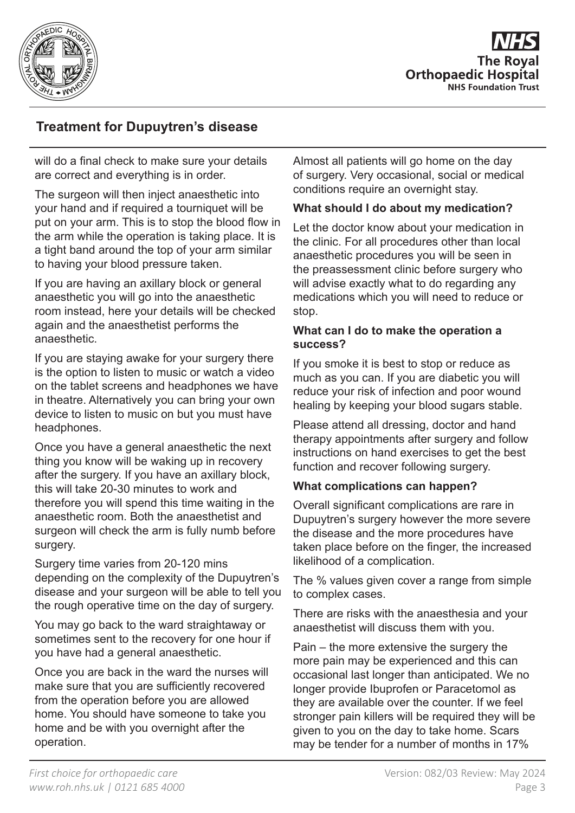

# **Treatment for Dupuytren's disease**

will do a final check to make sure your details are correct and everything is in order.

The surgeon will then inject anaesthetic into your hand and if required a tourniquet will be put on your arm. This is to stop the blood flow in the arm while the operation is taking place. It is a tight band around the top of your arm similar to having your blood pressure taken.

If you are having an axillary block or general anaesthetic you will go into the anaesthetic room instead, here your details will be checked again and the anaesthetist performs the anaesthetic.

If you are staying awake for your surgery there is the option to listen to music or watch a video on the tablet screens and headphones we have in theatre. Alternatively you can bring your own device to listen to music on but you must have headphones.

Once you have a general anaesthetic the next thing you know will be waking up in recovery after the surgery. If you have an axillary block, this will take 20-30 minutes to work and therefore you will spend this time waiting in the anaesthetic room. Both the anaesthetist and surgeon will check the arm is fully numb before surgery.

Surgery time varies from 20-120 mins depending on the complexity of the Dupuytren's disease and your surgeon will be able to tell you the rough operative time on the day of surgery.

You may go back to the ward straightaway or sometimes sent to the recovery for one hour if you have had a general anaesthetic.

Once you are back in the ward the nurses will make sure that you are sufficiently recovered from the operation before you are allowed home. You should have someone to take you home and be with you overnight after the operation.

Almost all patients will go home on the day of surgery. Very occasional, social or medical conditions require an overnight stay.

### **What should I do about my medication?**

Let the doctor know about your medication in the clinic. For all procedures other than local anaesthetic procedures you will be seen in the preassessment clinic before surgery who will advise exactly what to do regarding any medications which you will need to reduce or stop.

#### **What can I do to make the operation a success?**

If you smoke it is best to stop or reduce as much as you can. If you are diabetic you will reduce your risk of infection and poor wound healing by keeping your blood sugars stable.

Please attend all dressing, doctor and hand therapy appointments after surgery and follow instructions on hand exercises to get the best function and recover following surgery.

### **What complications can happen?**

Overall significant complications are rare in Dupuytren's surgery however the more severe the disease and the more procedures have taken place before on the finger, the increased likelihood of a complication.

The % values given cover a range from simple to complex cases.

There are risks with the anaesthesia and your anaesthetist will discuss them with you.

Pain – the more extensive the surgery the more pain may be experienced and this can occasional last longer than anticipated. We no longer provide Ibuprofen or Paracetomol as they are available over the counter. If we feel stronger pain killers will be required they will be given to you on the day to take home. Scars may be tender for a number of months in 17%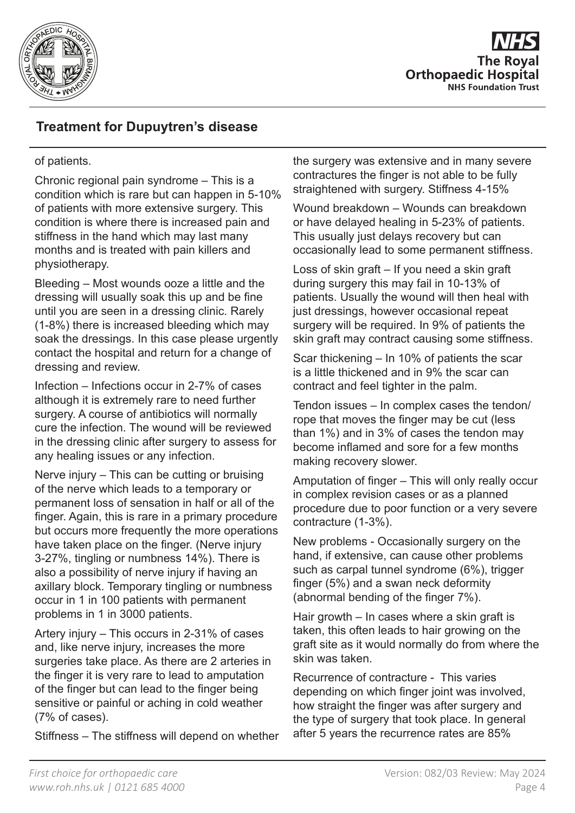

## **Treatment for Dupuytren's disease**

#### of patients.

Chronic regional pain syndrome – This is a condition which is rare but can happen in 5-10% of patients with more extensive surgery. This condition is where there is increased pain and stiffness in the hand which may last many months and is treated with pain killers and physiotherapy.

Bleeding – Most wounds ooze a little and the dressing will usually soak this up and be fine until you are seen in a dressing clinic. Rarely (1-8%) there is increased bleeding which may soak the dressings. In this case please urgently contact the hospital and return for a change of dressing and review.

Infection – Infections occur in 2-7% of cases although it is extremely rare to need further surgery. A course of antibiotics will normally cure the infection. The wound will be reviewed in the dressing clinic after surgery to assess for any healing issues or any infection.

Nerve injury – This can be cutting or bruising of the nerve which leads to a temporary or permanent loss of sensation in half or all of the finger. Again, this is rare in a primary procedure but occurs more frequently the more operations have taken place on the finger. (Nerve injury 3-27%, tingling or numbness 14%). There is also a possibility of nerve injury if having an axillary block. Temporary tingling or numbness occur in 1 in 100 patients with permanent problems in 1 in 3000 patients.

Artery injury – This occurs in 2-31% of cases and, like nerve injury, increases the more surgeries take place. As there are 2 arteries in the finger it is very rare to lead to amputation of the finger but can lead to the finger being sensitive or painful or aching in cold weather (7% of cases).

Stiffness – The stiffness will depend on whether

the surgery was extensive and in many severe contractures the finger is not able to be fully straightened with surgery. Stiffness 4-15%

Wound breakdown – Wounds can breakdown or have delayed healing in 5-23% of patients. This usually just delays recovery but can occasionally lead to some permanent stiffness.

Loss of skin graft – If you need a skin graft during surgery this may fail in 10-13% of patients. Usually the wound will then heal with just dressings, however occasional repeat surgery will be required. In 9% of patients the skin graft may contract causing some stiffness.

Scar thickening – In 10% of patients the scar is a little thickened and in 9% the scar can contract and feel tighter in the palm.

Tendon issues – In complex cases the tendon/ rope that moves the finger may be cut (less than 1%) and in 3% of cases the tendon may become inflamed and sore for a few months making recovery slower.

Amputation of finger – This will only really occur in complex revision cases or as a planned procedure due to poor function or a very severe contracture (1-3%).

New problems - Occasionally surgery on the hand, if extensive, can cause other problems such as carpal tunnel syndrome (6%), trigger finger (5%) and a swan neck deformity (abnormal bending of the finger 7%).

Hair growth – In cases where a skin graft is taken, this often leads to hair growing on the graft site as it would normally do from where the skin was taken.

Recurrence of contracture - This varies depending on which finger joint was involved, how straight the finger was after surgery and the type of surgery that took place. In general after 5 years the recurrence rates are 85%